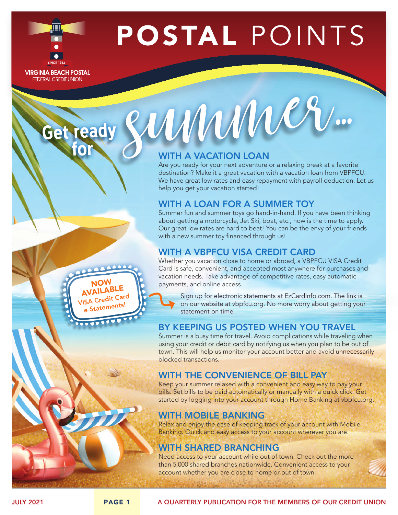

POSTAL POINTS

**VIRGINIA BEACH POSTAL FEDERAL CREDIT UNION** 

## WITH A VACATION LOAN

Get ready SUMMUNES

Are you ready for your next adventure or a relaxing break at a favorite destination? Make it a great vacation with a vacation loan from VBPFCU. We have great low rates and easy repayment with payroll deduction. Let us help you get your vacation started!

# WITH A LOAN FOR A SUMMER TOY

Summer fun and summer toys go hand-in-hand. If you have been thinking about getting a motorcycle, Jet Ski, boat, etc., now is the time to apply. Our great low rates are hard to beat! You can be the envy of your friends with a new summer toy financed through us!

## WITH A VBPFCU VISA CREDIT CARD

Whether you vacation close to home or abroad, a VBPFCU VISA Credit Card is safe, convenient, and accepted most anywhere for purchases and vacation needs. Take advantage of competitive rates, easy automatic payments, and online access.

Sign up for electronic statements at EzCardInfo.com. The link is on our website at vbpfcu.org. No more worry about getting your statement on time.

## BY KEEPING US POSTED WHEN YOU TRAVEL

Summer is a busy time for travel. Avoid complications while traveling when using your credit or debit card by notifying us when you plan to be out of town. This will help us monitor your account better and avoid unnecessarily blocked transactions.

# WITH THE CONVENIENCE OF BILL PAY

Keep your summer relaxed with a convenient and easy way to pay your bills. Set bills to be paid automatically or manually with a quick click. Get started by logging into your account through Home Banking at vbpfcu.org.

# WITH MOBILE BANKING

Relax and enjoy the ease of keeping track of your account with Mobile Banking. Quick and easy access to your account wherever you are.

# WITH SHARED BRANCHING

Need access to your account while out of town. Check out the more than 5,000 shared branches nationwide. Convenient access to your account whether you are close to home or out of town.

NOW AVAILABLE VISA Credit Card e-Statements